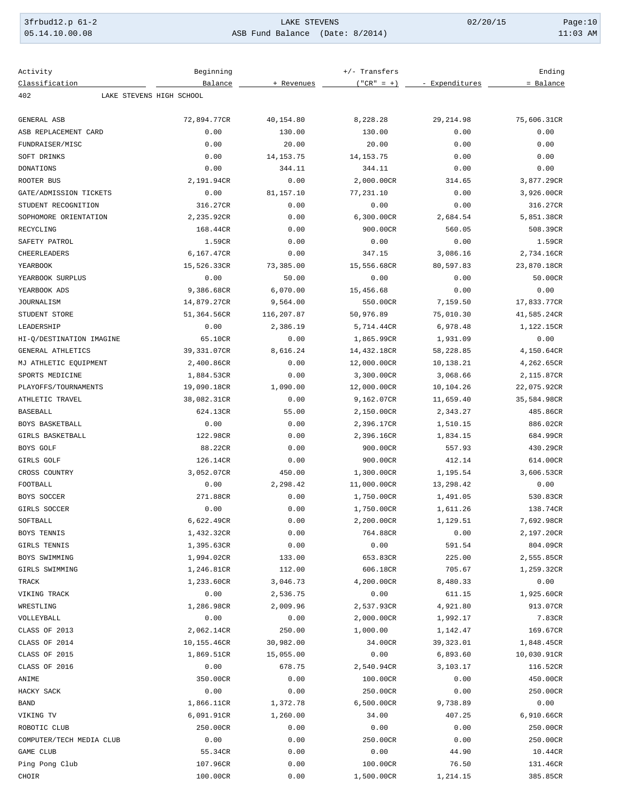| 3frbud12.p 61-2 | LAKE STEVENS                    | 02/20/15 | Page: $10$ |
|-----------------|---------------------------------|----------|------------|
| 05.14.10.00.08  | ASB Fund Balance (Date: 8/2014) |          | $11:03$ AM |

| Activity                 | Beginning                |             | +/- Transfers |                | Ending      |
|--------------------------|--------------------------|-------------|---------------|----------------|-------------|
| Classification           | Balance                  | + Revenues  | $("CR" = +)$  | - Expenditures | = Balance   |
| 402                      | LAKE STEVENS HIGH SCHOOL |             |               |                |             |
| GENERAL ASB              | 72,894.77CR              | 40,154.80   | 8,228.28      | 29, 214.98     | 75,606.31CR |
| ASB REPLACEMENT CARD     | 0.00                     | 130.00      | 130.00        | 0.00           | 0.00        |
| FUNDRAISER/MISC          | 0.00                     | 20.00       | 20.00         | 0.00           | 0.00        |
| SOFT DRINKS              | 0.00                     | 14, 153. 75 | 14, 153. 75   | 0.00           | 0.00        |
|                          |                          | 344.11      | 344.11        | 0.00           | 0.00        |
| DONATIONS                | 0.00                     |             |               |                |             |
| ROOTER BUS               | 2,191.94CR               | 0.00        | 2,000.00CR    | 314.65         | 3,877.29CR  |
| GATE/ADMISSION TICKETS   | 0.00                     | 81,157.10   | 77,231.10     | 0.00           | 3,926.00CR  |
| STUDENT RECOGNITION      | 316.27CR                 | 0.00        | 0.00          | 0.00           | 316.27CR    |
| SOPHOMORE ORIENTATION    | 2,235.92CR               | 0.00        | 6,300.00CR    | 2,684.54       | 5,851.38CR  |
| RECYCLING                | 168.44CR                 | 0.00        | 900.00CR      | 560.05         | 508.39CR    |
| SAFETY PATROL            | 1.59CR                   | 0.00        | 0.00          | 0.00           | 1.59CR      |
| CHEERLEADERS             | 6,167.47CR               | 0.00        | 347.15        | 3,086.16       | 2,734.16CR  |
| YEARBOOK                 | 15,526.33CR              | 73,385.00   | 15,556.68CR   | 80,597.83      | 23,870.18CR |
| YEARBOOK SURPLUS         | 0.00                     | 50.00       | 0.00          | 0.00           | 50.00CR     |
| YEARBOOK ADS             | 9,386.68CR               | 6,070.00    | 15,456.68     | 0.00           | 0.00        |
| JOURNALISM               | 14,879.27CR              | 9,564.00    | 550.00CR      | 7,159.50       | 17,833.77CR |
| STUDENT STORE            | 51,364.56CR              | 116,207.87  | 50,976.89     | 75,010.30      | 41,585.24CR |
| LEADERSHIP               | 0.00                     | 2,386.19    | 5,714.44CR    | 6,978.48       | 1,122.15CR  |
| HI-Q/DESTINATION IMAGINE | 65.10CR                  | 0.00        | 1,865.99CR    | 1,931.09       | 0.00        |
| GENERAL ATHLETICS        | 39,331.07CR              | 8,616.24    | 14,432.18CR   | 58,228.85      | 4,150.64CR  |
| MJ ATHLETIC EQUIPMENT    | 2,400.86CR               | 0.00        | 12,000.00CR   | 10,138.21      | 4,262.65CR  |
| SPORTS MEDICINE          | 1,884.53CR               | 0.00        | 3,300.00CR    | 3,068.66       | 2,115.87CR  |
| PLAYOFFS/TOURNAMENTS     | 19,090.18CR              | 1,090.00    | 12,000.00CR   | 10,104.26      | 22,075.92CR |
| ATHLETIC TRAVEL          | 38,082.31CR              | 0.00        | 9,162.07CR    | 11,659.40      | 35,584.98CR |
| BASEBALL                 | 624.13CR                 | 55.00       | 2,150.00CR    | 2,343.27       | 485.86CR    |
| BOYS BASKETBALL          | 0.00                     | 0.00        | 2,396.17CR    | 1,510.15       | 886.02CR    |
| GIRLS BASKETBALL         | 122.98CR                 | 0.00        | 2,396.16CR    | 1,834.15       | 684.99CR    |
| BOYS GOLF                | 88.22CR                  | 0.00        | 900.00CR      | 557.93         | 430.29CR    |
| GIRLS GOLF               | 126.14CR                 | 0.00        | 900.00CR      | 412.14         | 614.00CR    |
| CROSS COUNTRY            | 3,052.07CR               | 450.00      | 1,300.00CR    | 1,195.54       | 3,606.53CR  |
| FOOTBALL                 | 0.00                     | 2,298.42    | 11,000.00CR   | 13,298.42      | 0.00        |
| BOYS SOCCER              | 271.88CR                 | 0.00        | 1,750.00CR    | 1,491.05       | 530.83CR    |
| GIRLS SOCCER             | 0.00                     | 0.00        | 1,750.00CR    | 1,611.26       | 138.74CR    |
| SOFTBALL                 | 6,622.49CR               | 0.00        | 2,200.00CR    | 1,129.51       | 7,692.98CR  |
| BOYS TENNIS              | 1,432.32CR               | 0.00        | 764.88CR      | 0.00           | 2,197.20CR  |
| GIRLS TENNIS             | 1,395.63CR               | 0.00        | 0.00          | 591.54         | 804.09CR    |
| BOYS SWIMMING            | 1,994.02CR               | 133.00      | 653.83CR      | 225.00         | 2,555.85CR  |
| GIRLS SWIMMING           | 1,246.81CR               | 112.00      | 606.18CR      | 705.67         | 1,259.32CR  |
| TRACK                    | 1,233.60CR               | 3,046.73    | 4,200.00CR    | 8,480.33       | 0.00        |
| VIKING TRACK             | 0.00                     | 2,536.75    | 0.00          | 611.15         | 1,925.60CR  |
| WRESTLING                | 1,286.98CR               | 2,009.96    | 2,537.93CR    | 4,921.80       | 913.07CR    |
| VOLLEYBALL               | 0.00                     | 0.00        | 2,000.00CR    | 1,992.17       | 7.83CR      |
| CLASS OF 2013            | 2,062.14CR               | 250.00      | 1,000.00      | 1,142.47       | 169.67CR    |
| CLASS OF 2014            | 10,155.46CR              | 30,982.00   | 34.00CR       | 39,323.01      | 1,848.45CR  |
| CLASS OF 2015            | 1,869.51CR               | 15,055.00   | 0.00          | 6,893.60       | 10,030.91CR |
| CLASS OF 2016            | 0.00                     | 678.75      | 2,540.94CR    | 3,103.17       | 116.52CR    |
| ANIME                    | 350.00CR                 | 0.00        | 100.00CR      | 0.00           | 450.00CR    |
| HACKY SACK               | 0.00                     | 0.00        | 250.00CR      | 0.00           | 250.00CR    |
| BAND                     | 1,866.11CR               | 1,372.78    | 6,500.00CR    | 9,738.89       | 0.00        |
| VIKING TV                | 6,091.91CR               | 1,260.00    | 34.00         | 407.25         | 6,910.66CR  |
| ROBOTIC CLUB             | 250.00CR                 | 0.00        | 0.00          | 0.00           | 250.00CR    |
| COMPUTER/TECH MEDIA CLUB | 0.00                     | 0.00        | 250.00CR      | 0.00           | 250.00CR    |
| GAME CLUB                | 55.34CR                  | 0.00        | 0.00          | 44.90          | 10.44CR     |
| Ping Pong Club           | 107.96CR                 | 0.00        | 100.00CR      | 76.50          | 131.46CR    |
| CHOIR                    | 100.00CR                 | 0.00        | 1,500.00CR    | 1,214.15       | 385.85CR    |
|                          |                          |             |               |                |             |